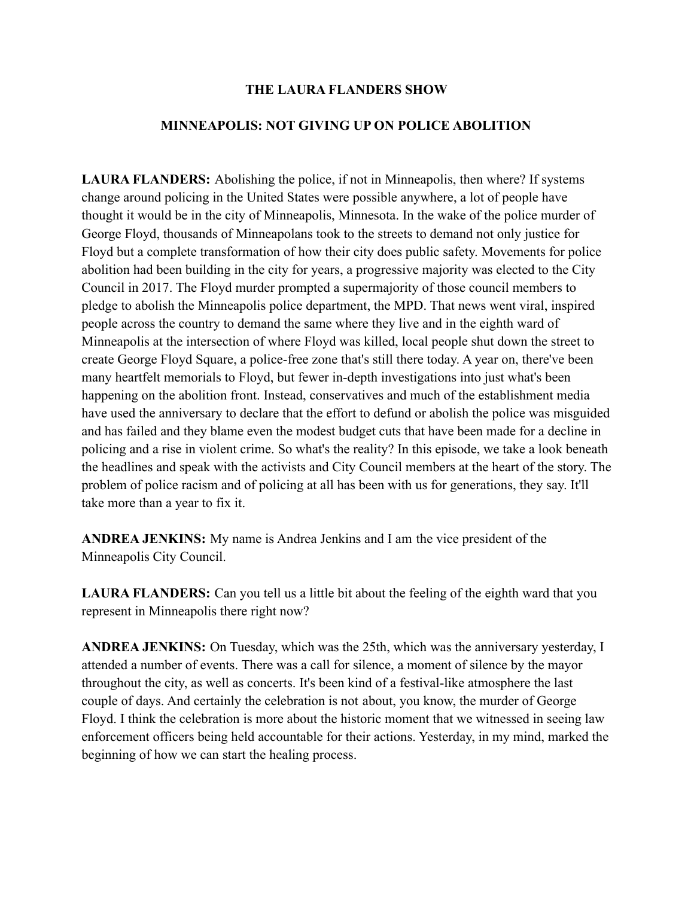## **THE LAURA FLANDERS SHOW**

## **MINNEAPOLIS: NOT GIVING UP ON POLICE ABOLITION**

**LAURA FLANDERS:** Abolishing the police, if not in Minneapolis, then where? If systems change around policing in the United States were possible anywhere, a lot of people have thought it would be in the city of Minneapolis, Minnesota. In the wake of the police murder of George Floyd, thousands of Minneapolans took to the streets to demand not only justice for Floyd but a complete transformation of how their city does public safety. Movements for police abolition had been building in the city for years, a progressive majority was elected to the City Council in 2017. The Floyd murder prompted a supermajority of those council members to pledge to abolish the Minneapolis police department, the MPD. That news went viral, inspired people across the country to demand the same where they live and in the eighth ward of Minneapolis at the intersection of where Floyd was killed, local people shut down the street to create George Floyd Square, a police-free zone that's still there today. A year on, there've been many heartfelt memorials to Floyd, but fewer in-depth investigations into just what's been happening on the abolition front. Instead, conservatives and much of the establishment media have used the anniversary to declare that the effort to defund or abolish the police was misguided and has failed and they blame even the modest budget cuts that have been made for a decline in policing and a rise in violent crime. So what's the reality? In this episode, we take a look beneath the headlines and speak with the activists and City Council members at the heart of the story. The problem of police racism and of policing at all has been with us for generations, they say. It'll take more than a year to fix it.

**ANDREA JENKINS:** My name is Andrea Jenkins and I am the vice president of the Minneapolis City Council.

**LAURA FLANDERS:** Can you tell us a little bit about the feeling of the eighth ward that you represent in Minneapolis there right now?

**ANDREA JENKINS:** On Tuesday, which was the 25th, which was the anniversary yesterday, I attended a number of events. There was a call for silence, a moment of silence by the mayor throughout the city, as well as concerts. It's been kind of a festival-like atmosphere the last couple of days. And certainly the celebration is not about, you know, the murder of George Floyd. I think the celebration is more about the historic moment that we witnessed in seeing law enforcement officers being held accountable for their actions. Yesterday, in my mind, marked the beginning of how we can start the healing process.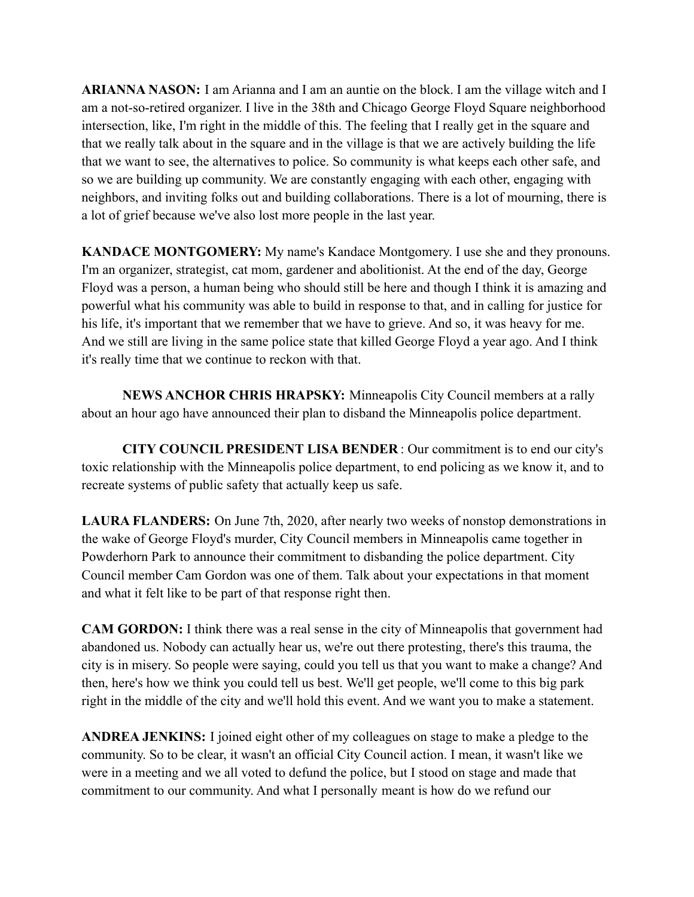**ARIANNA NASON:** I am Arianna and I am an auntie on the block. I am the village witch and I am a not-so-retired organizer. I live in the 38th and Chicago George Floyd Square neighborhood intersection, like, I'm right in the middle of this. The feeling that I really get in the square and that we really talk about in the square and in the village is that we are actively building the life that we want to see, the alternatives to police. So community is what keeps each other safe, and so we are building up community. We are constantly engaging with each other, engaging with neighbors, and inviting folks out and building collaborations. There is a lot of mourning, there is a lot of grief because we've also lost more people in the last year.

**KANDACE MONTGOMERY:** My name's Kandace Montgomery. I use she and they pronouns. I'm an organizer, strategist, cat mom, gardener and abolitionist. At the end of the day, George Floyd was a person, a human being who should still be here and though I think it is amazing and powerful what his community was able to build in response to that, and in calling for justice for his life, it's important that we remember that we have to grieve. And so, it was heavy for me. And we still are living in the same police state that killed George Floyd a year ago. And I think it's really time that we continue to reckon with that.

**NEWS ANCHOR CHRIS HRAPSKY:** Minneapolis City Council members at a rally about an hour ago have announced their plan to disband the Minneapolis police department.

**CITY COUNCIL PRESIDENT LISA BENDER** : Our commitment is to end our city's toxic relationship with the Minneapolis police department, to end policing as we know it, and to recreate systems of public safety that actually keep us safe.

**LAURA FLANDERS:** On June 7th, 2020, after nearly two weeks of nonstop demonstrations in the wake of George Floyd's murder, City Council members in Minneapolis came together in Powderhorn Park to announce their commitment to disbanding the police department. City Council member Cam Gordon was one of them. Talk about your expectations in that moment and what it felt like to be part of that response right then.

**CAM GORDON:** I think there was a real sense in the city of Minneapolis that government had abandoned us. Nobody can actually hear us, we're out there protesting, there's this trauma, the city is in misery. So people were saying, could you tell us that you want to make a change? And then, here's how we think you could tell us best. We'll get people, we'll come to this big park right in the middle of the city and we'll hold this event. And we want you to make a statement.

**ANDREA JENKINS:** I joined eight other of my colleagues on stage to make a pledge to the community. So to be clear, it wasn't an official City Council action. I mean, it wasn't like we were in a meeting and we all voted to defund the police, but I stood on stage and made that commitment to our community. And what I personally meant is how do we refund our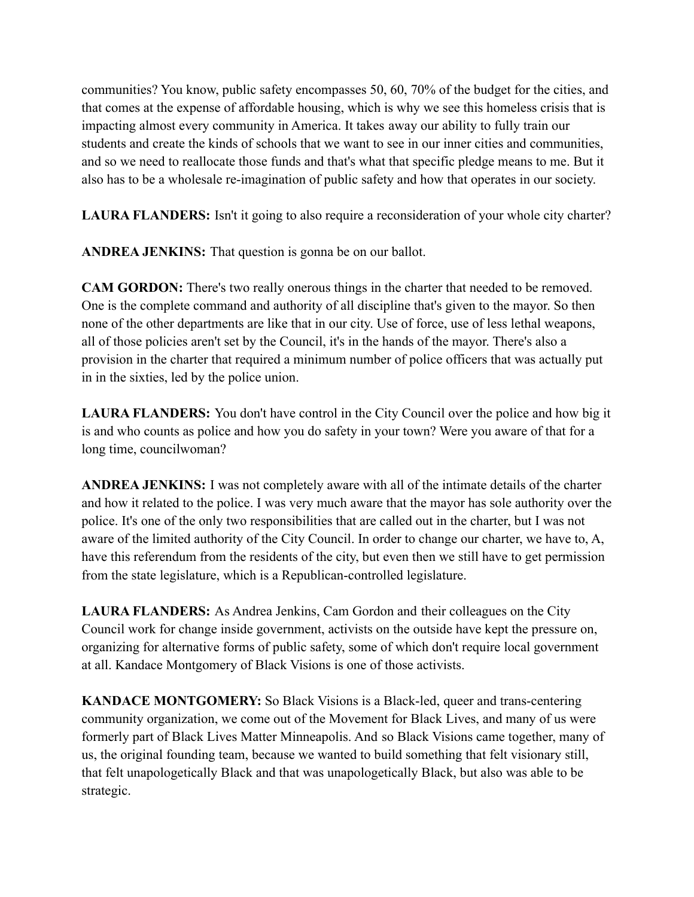communities? You know, public safety encompasses 50, 60, 70% of the budget for the cities, and that comes at the expense of affordable housing, which is why we see this homeless crisis that is impacting almost every community in America. It takes away our ability to fully train our students and create the kinds of schools that we want to see in our inner cities and communities, and so we need to reallocate those funds and that's what that specific pledge means to me. But it also has to be a wholesale re-imagination of public safety and how that operates in our society.

**LAURA FLANDERS:** Isn't it going to also require a reconsideration of your whole city charter?

**ANDREA JENKINS:** That question is gonna be on our ballot.

**CAM GORDON:** There's two really onerous things in the charter that needed to be removed. One is the complete command and authority of all discipline that's given to the mayor. So then none of the other departments are like that in our city. Use of force, use of less lethal weapons, all of those policies aren't set by the Council, it's in the hands of the mayor. There's also a provision in the charter that required a minimum number of police officers that was actually put in in the sixties, led by the police union.

**LAURA FLANDERS:** You don't have control in the City Council over the police and how big it is and who counts as police and how you do safety in your town? Were you aware of that for a long time, councilwoman?

**ANDREA JENKINS:** I was not completely aware with all of the intimate details of the charter and how it related to the police. I was very much aware that the mayor has sole authority over the police. It's one of the only two responsibilities that are called out in the charter, but I was not aware of the limited authority of the City Council. In order to change our charter, we have to, A, have this referendum from the residents of the city, but even then we still have to get permission from the state legislature, which is a Republican-controlled legislature.

**LAURA FLANDERS:** As Andrea Jenkins, Cam Gordon and their colleagues on the City Council work for change inside government, activists on the outside have kept the pressure on, organizing for alternative forms of public safety, some of which don't require local government at all. Kandace Montgomery of Black Visions is one of those activists.

**KANDACE MONTGOMERY:** So Black Visions is a Black-led, queer and trans-centering community organization, we come out of the Movement for Black Lives, and many of us were formerly part of Black Lives Matter Minneapolis. And so Black Visions came together, many of us, the original founding team, because we wanted to build something that felt visionary still, that felt unapologetically Black and that was unapologetically Black, but also was able to be strategic.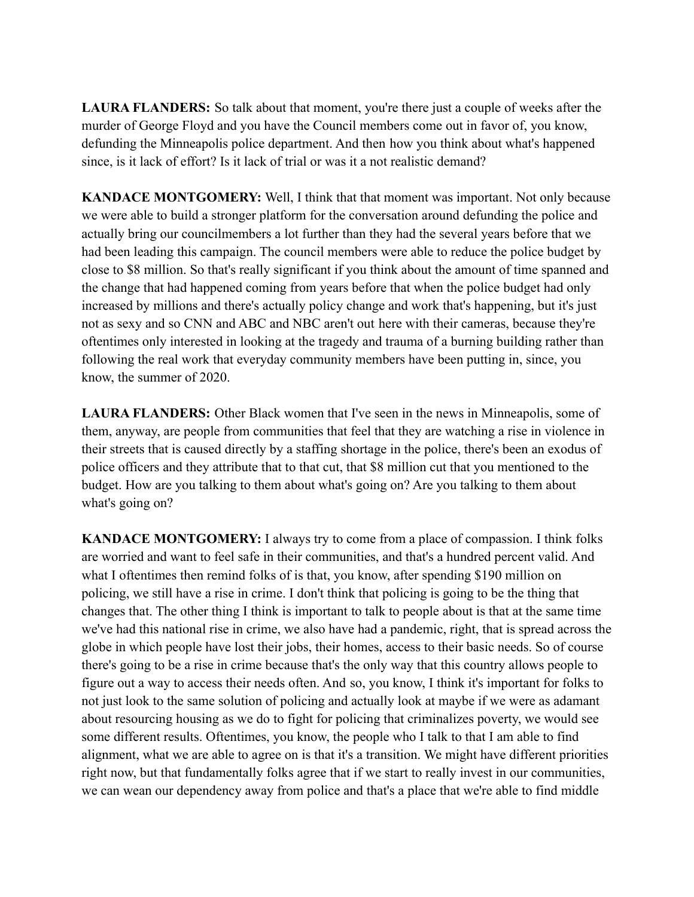**LAURA FLANDERS:** So talk about that moment, you're there just a couple of weeks after the murder of George Floyd and you have the Council members come out in favor of, you know, defunding the Minneapolis police department. And then how you think about what's happened since, is it lack of effort? Is it lack of trial or was it a not realistic demand?

**KANDACE MONTGOMERY:** Well, I think that that moment was important. Not only because we were able to build a stronger platform for the conversation around defunding the police and actually bring our councilmembers a lot further than they had the several years before that we had been leading this campaign. The council members were able to reduce the police budget by close to \$8 million. So that's really significant if you think about the amount of time spanned and the change that had happened coming from years before that when the police budget had only increased by millions and there's actually policy change and work that's happening, but it's just not as sexy and so CNN and ABC and NBC aren't out here with their cameras, because they're oftentimes only interested in looking at the tragedy and trauma of a burning building rather than following the real work that everyday community members have been putting in, since, you know, the summer of 2020.

**LAURA FLANDERS:** Other Black women that I've seen in the news in Minneapolis, some of them, anyway, are people from communities that feel that they are watching a rise in violence in their streets that is caused directly by a staffing shortage in the police, there's been an exodus of police officers and they attribute that to that cut, that \$8 million cut that you mentioned to the budget. How are you talking to them about what's going on? Are you talking to them about what's going on?

**KANDACE MONTGOMERY:** I always try to come from a place of compassion. I think folks are worried and want to feel safe in their communities, and that's a hundred percent valid. And what I oftentimes then remind folks of is that, you know, after spending \$190 million on policing, we still have a rise in crime. I don't think that policing is going to be the thing that changes that. The other thing I think is important to talk to people about is that at the same time we've had this national rise in crime, we also have had a pandemic, right, that is spread across the globe in which people have lost their jobs, their homes, access to their basic needs. So of course there's going to be a rise in crime because that's the only way that this country allows people to figure out a way to access their needs often. And so, you know, I think it's important for folks to not just look to the same solution of policing and actually look at maybe if we were as adamant about resourcing housing as we do to fight for policing that criminalizes poverty, we would see some different results. Oftentimes, you know, the people who I talk to that I am able to find alignment, what we are able to agree on is that it's a transition. We might have different priorities right now, but that fundamentally folks agree that if we start to really invest in our communities, we can wean our dependency away from police and that's a place that we're able to find middle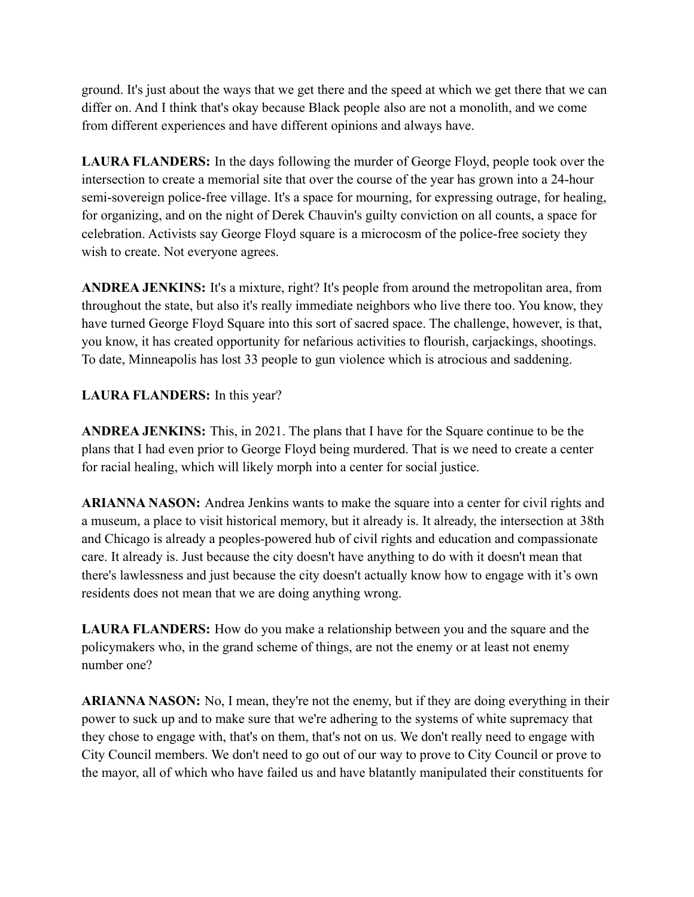ground. It's just about the ways that we get there and the speed at which we get there that we can differ on. And I think that's okay because Black people also are not a monolith, and we come from different experiences and have different opinions and always have.

**LAURA FLANDERS:** In the days following the murder of George Floyd, people took over the intersection to create a memorial site that over the course of the year has grown into a 24-hour semi-sovereign police-free village. It's a space for mourning, for expressing outrage, for healing, for organizing, and on the night of Derek Chauvin's guilty conviction on all counts, a space for celebration. Activists say George Floyd square is a microcosm of the police-free society they wish to create. Not everyone agrees.

**ANDREA JENKINS:** It's a mixture, right? It's people from around the metropolitan area, from throughout the state, but also it's really immediate neighbors who live there too. You know, they have turned George Floyd Square into this sort of sacred space. The challenge, however, is that, you know, it has created opportunity for nefarious activities to flourish, carjackings, shootings. To date, Minneapolis has lost 33 people to gun violence which is atrocious and saddening.

## **LAURA FLANDERS:** In this year?

**ANDREA JENKINS:** This, in 2021. The plans that I have for the Square continue to be the plans that I had even prior to George Floyd being murdered. That is we need to create a center for racial healing, which will likely morph into a center for social justice.

**ARIANNA NASON:** Andrea Jenkins wants to make the square into a center for civil rights and a museum, a place to visit historical memory, but it already is. It already, the intersection at 38th and Chicago is already a peoples-powered hub of civil rights and education and compassionate care. It already is. Just because the city doesn't have anything to do with it doesn't mean that there's lawlessness and just because the city doesn't actually know how to engage with it's own residents does not mean that we are doing anything wrong.

**LAURA FLANDERS:** How do you make a relationship between you and the square and the policymakers who, in the grand scheme of things, are not the enemy or at least not enemy number one?

**ARIANNA NASON:** No, I mean, they're not the enemy, but if they are doing everything in their power to suck up and to make sure that we're adhering to the systems of white supremacy that they chose to engage with, that's on them, that's not on us. We don't really need to engage with City Council members. We don't need to go out of our way to prove to City Council or prove to the mayor, all of which who have failed us and have blatantly manipulated their constituents for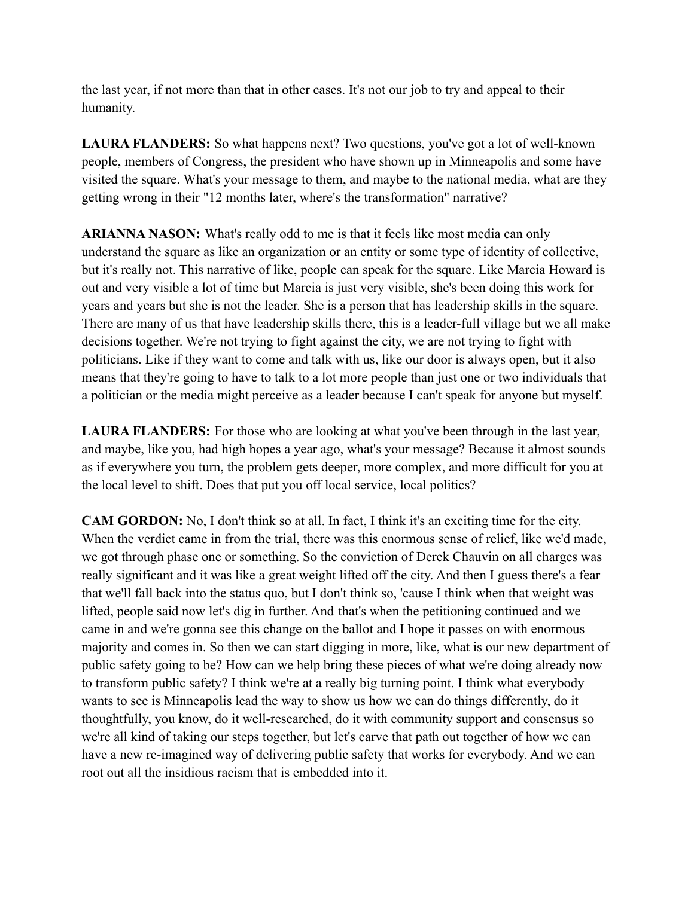the last year, if not more than that in other cases. It's not our job to try and appeal to their humanity.

**LAURA FLANDERS:** So what happens next? Two questions, you've got a lot of well-known people, members of Congress, the president who have shown up in Minneapolis and some have visited the square. What's your message to them, and maybe to the national media, what are they getting wrong in their "12 months later, where's the transformation" narrative?

**ARIANNA NASON:** What's really odd to me is that it feels like most media can only understand the square as like an organization or an entity or some type of identity of collective, but it's really not. This narrative of like, people can speak for the square. Like Marcia Howard is out and very visible a lot of time but Marcia is just very visible, she's been doing this work for years and years but she is not the leader. She is a person that has leadership skills in the square. There are many of us that have leadership skills there, this is a leader-full village but we all make decisions together. We're not trying to fight against the city, we are not trying to fight with politicians. Like if they want to come and talk with us, like our door is always open, but it also means that they're going to have to talk to a lot more people than just one or two individuals that a politician or the media might perceive as a leader because I can't speak for anyone but myself.

**LAURA FLANDERS:** For those who are looking at what you've been through in the last year, and maybe, like you, had high hopes a year ago, what's your message? Because it almost sounds as if everywhere you turn, the problem gets deeper, more complex, and more difficult for you at the local level to shift. Does that put you off local service, local politics?

**CAM GORDON:** No, I don't think so at all. In fact, I think it's an exciting time for the city. When the verdict came in from the trial, there was this enormous sense of relief, like we'd made, we got through phase one or something. So the conviction of Derek Chauvin on all charges was really significant and it was like a great weight lifted off the city. And then I guess there's a fear that we'll fall back into the status quo, but I don't think so, 'cause I think when that weight was lifted, people said now let's dig in further. And that's when the petitioning continued and we came in and we're gonna see this change on the ballot and I hope it passes on with enormous majority and comes in. So then we can start digging in more, like, what is our new department of public safety going to be? How can we help bring these pieces of what we're doing already now to transform public safety? I think we're at a really big turning point. I think what everybody wants to see is Minneapolis lead the way to show us how we can do things differently, do it thoughtfully, you know, do it well-researched, do it with community support and consensus so we're all kind of taking our steps together, but let's carve that path out together of how we can have a new re-imagined way of delivering public safety that works for everybody. And we can root out all the insidious racism that is embedded into it.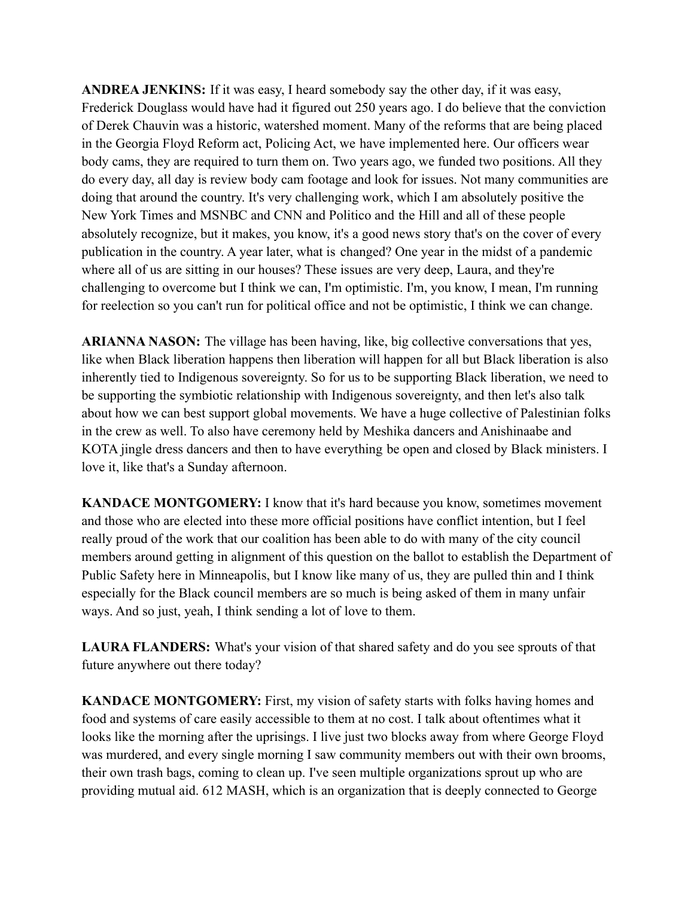**ANDREA JENKINS:** If it was easy, I heard somebody say the other day, if it was easy, Frederick Douglass would have had it figured out 250 years ago. I do believe that the conviction of Derek Chauvin was a historic, watershed moment. Many of the reforms that are being placed in the Georgia Floyd Reform act, Policing Act, we have implemented here. Our officers wear body cams, they are required to turn them on. Two years ago, we funded two positions. All they do every day, all day is review body cam footage and look for issues. Not many communities are doing that around the country. It's very challenging work, which I am absolutely positive the New York Times and MSNBC and CNN and Politico and the Hill and all of these people absolutely recognize, but it makes, you know, it's a good news story that's on the cover of every publication in the country. A year later, what is changed? One year in the midst of a pandemic where all of us are sitting in our houses? These issues are very deep, Laura, and they're challenging to overcome but I think we can, I'm optimistic. I'm, you know, I mean, I'm running for reelection so you can't run for political office and not be optimistic, I think we can change.

**ARIANNA NASON:** The village has been having, like, big collective conversations that yes, like when Black liberation happens then liberation will happen for all but Black liberation is also inherently tied to Indigenous sovereignty. So for us to be supporting Black liberation, we need to be supporting the symbiotic relationship with Indigenous sovereignty, and then let's also talk about how we can best support global movements. We have a huge collective of Palestinian folks in the crew as well. To also have ceremony held by Meshika dancers and Anishinaabe and KOTA jingle dress dancers and then to have everything be open and closed by Black ministers. I love it, like that's a Sunday afternoon.

**KANDACE MONTGOMERY:** I know that it's hard because you know, sometimes movement and those who are elected into these more official positions have conflict intention, but I feel really proud of the work that our coalition has been able to do with many of the city council members around getting in alignment of this question on the ballot to establish the Department of Public Safety here in Minneapolis, but I know like many of us, they are pulled thin and I think especially for the Black council members are so much is being asked of them in many unfair ways. And so just, yeah, I think sending a lot of love to them.

**LAURA FLANDERS:** What's your vision of that shared safety and do you see sprouts of that future anywhere out there today?

**KANDACE MONTGOMERY:** First, my vision of safety starts with folks having homes and food and systems of care easily accessible to them at no cost. I talk about oftentimes what it looks like the morning after the uprisings. I live just two blocks away from where George Floyd was murdered, and every single morning I saw community members out with their own brooms, their own trash bags, coming to clean up. I've seen multiple organizations sprout up who are providing mutual aid. 612 MASH, which is an organization that is deeply connected to George